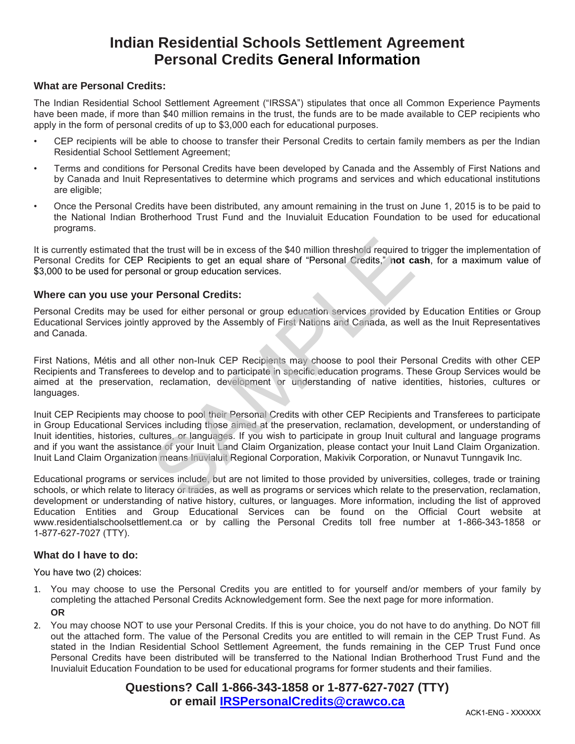# **Indian Residential Schools Settlement Agreement Personal Credits General Information**

#### **What are Personal Credits:**

The Indian Residential School Settlement Agreement ("IRSSA") stipulates that once all Common Experience Payments have been made, if more than \$40 million remains in the trust, the funds are to be made available to CEP recipients who apply in the form of personal credits of up to \$3,000 each for educational purposes.

- CEP recipients will be able to choose to transfer their Personal Credits to certain family members as per the Indian Residential School Settlement Agreement;
- Terms and conditions for Personal Credits have been developed by Canada and the Assembly of First Nations and by Canada and Inuit Representatives to determine which programs and services and which educational institutions are eligible;
- Once the Personal Credits have been distributed, any amount remaining in the trust on June 1, 2015 is to be paid to the National Indian Brotherhood Trust Fund and the Inuvialuit Education Foundation to be used for educational programs.

It is currently estimated that the trust will be in excess of the \$40 million threshold required to trigger the implementation of Personal Credits for CEP Recipients to get an equal share of "Personal Credits," **not cash**, for a maximum value of \$3,000 to be used for personal or group education services.

## **Where can you use your Personal Credits:**

Personal Credits may be used for either personal or group education services provided by Education Entities or Group Educational Services jointly approved by the Assembly of First Nations and Canada, as well as the Inuit Representatives and Canada.

First Nations, Métis and all other non-Inuk CEP Recipients may choose to pool their Personal Credits with other CEP Recipients and Transferees to develop and to participate in specific education programs. These Group Services would be aimed at the preservation, reclamation, development or understanding of native identities, histories, cultures or languages.

Inuit CEP Recipients may choose to pool their Personal Credits with other CEP Recipients and Transferees to participate in Group Educational Services including those aimed at the preservation, reclamation, development, or understanding of Inuit identities, histories, cultures, or languages. If you wish to participate in group Inuit cultural and language programs and if you want the assistance of your Inuit Land Claim Organization, please contact your Inuit Land Claim Organization. Inuit Land Claim Organization means Inuvialuit Regional Corporation, Makivik Corporation, or Nunavut Tunngavik Inc. the trust will be in excess of the \$40 million threshold required to<br>Recipients to get an equal share of "Personal Credits," not can<br>al or group education services.<br>
T Personal Credits:<br>
Seed for either personal or group e

Educational programs or services include, but are not limited to those provided by universities, colleges, trade or training schools, or which relate to literacy or trades, as well as programs or services which relate to the preservation, reclamation, development or understanding of native history, cultures, or languages. More information, including the list of approved Education Entities and Group Educational Services can be found on the Official Court website at www.residentialschoolsettlement.ca or by calling the Personal Credits toll free number at 1-866-343-1858 or 1-877-627-7027 (TTY).

#### **What do I have to do:**

You have two (2) choices:

- 1. You may choose to use the Personal Credits you are entitled to for yourself and/or members of your family by completing the attached Personal Credits Acknowledgement form. See the next page for more information. **OR**
- 2. You may choose NOT to use your Personal Credits. If this is your choice, you do not have to do anything. Do NOT fill out the attached form. The value of the Personal Credits you are entitled to will remain in the CEP Trust Fund. As stated in the Indian Residential School Settlement Agreement, the funds remaining in the CEP Trust Fund once Personal Credits have been distributed will be transferred to the National Indian Brotherhood Trust Fund and the Inuvialuit Education Foundation to be used for educational programs for former students and their families.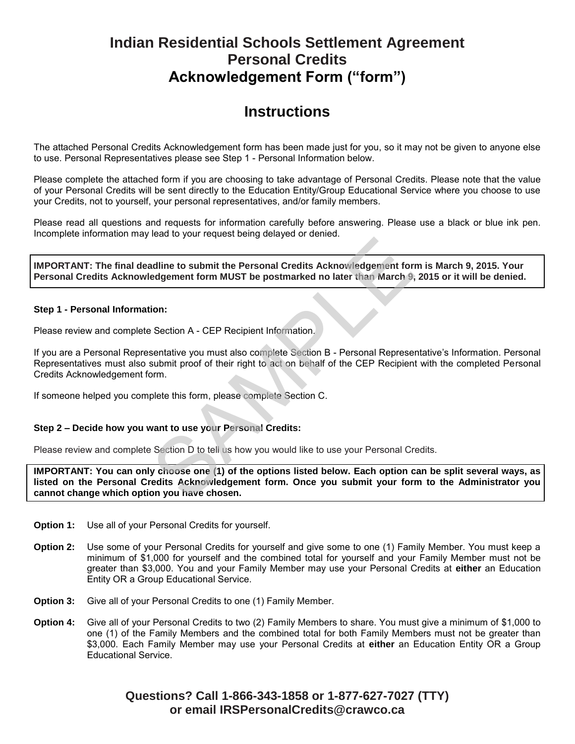# **Indian Residential Schools Settlement Agreement Personal Credits Acknowledgement Form ("form")**

## **Instructions**

The attached Personal Credits Acknowledgement form has been made just for you, so it may not be given to anyone else to use. Personal Representatives please see Step 1 - Personal Information below.

Please complete the attached form if you are choosing to take advantage of Personal Credits. Please note that the value of your Personal Credits will be sent directly to the Education Entity/Group Educational Service where you choose to use your Credits, not to yourself, your personal representatives, and/or family members.

Please read all questions and requests for information carefully before answering. Please use a black or blue ink pen. Incomplete information may lead to your request being delayed or denied.

**IMPORTANT: The final deadline to submit the Personal Credits Acknowledgement form is March 9, 2015. Your Personal Credits Acknowledgement form MUST be postmarked no later than March 9, 2015 or it will be denied.**

#### **Step 1 - Personal Information:**

Please review and complete Section A - CEP Recipient Information.

If you are a Personal Representative you must also complete Section B - Personal Representative's Information. Personal Representatives must also submit proof of their right to act on behalf of the CEP Recipient with the completed Personal Credits Acknowledgement form.

If someone helped you complete this form, please complete Section C.

## **Step 2 – Decide how you want to use your Personal Credits:**

Please review and complete Section D to tell us how you would like to use your Personal Credits.

**IMPORTANT: You can only choose one (1) of the options listed below. Each option can be split several ways, as listed on the Personal Credits Acknowledgement form. Once you submit your form to the Administrator you cannot change which option you have chosen.** andline to submit the Personal Credits Acknowledgement form<br>addine to submit the Personal Credits Acknowledgement form<br>degement form MUST be postmarked no later than March 9,<br>ion:<br>Section A - CEP Recipient Information.<br>sen

- **Option 1:** Use all of your Personal Credits for yourself.
- **Option 2:** Use some of your Personal Credits for yourself and give some to one (1) Family Member. You must keep a minimum of \$1,000 for yourself and the combined total for yourself and your Family Member must not be greater than \$3,000. You and your Family Member may use your Personal Credits at **either** an Education Entity OR a Group Educational Service.
- **Option 3:** Give all of your Personal Credits to one (1) Family Member.
- **Option 4:** Give all of your Personal Credits to two (2) Family Members to share. You must give a minimum of \$1,000 to one (1) of the Family Members and the combined total for both Family Members must not be greater than \$3,000. Each Family Member may use your Personal Credits at **either** an Education Entity OR a Group Educational Service.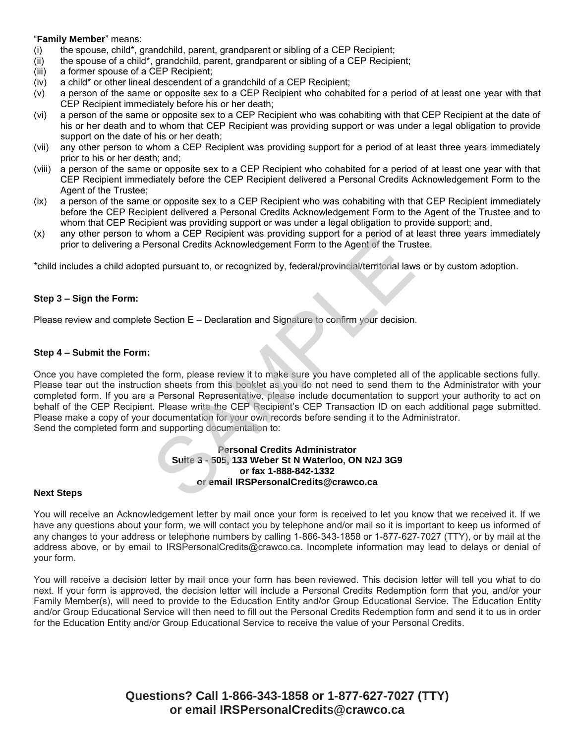#### "**Family Member**" means:

- (i) the spouse, child\*, grandchild, parent, grandparent or sibling of a CEP Recipient;
- (ii) the spouse of a child\*, grandchild, parent, grandparent or sibling of a CEP Recipient;
- (iii) a former spouse of a CEP Recipient;
- (iv) a child\* or other lineal descendent of a grandchild of a CEP Recipient;
- (v) a person of the same or opposite sex to a CEP Recipient who cohabited for a period of at least one year with that CEP Recipient immediately before his or her death;
- (vi) a person of the same or opposite sex to a CEP Recipient who was cohabiting with that CEP Recipient at the date of his or her death and to whom that CEP Recipient was providing support or was under a legal obligation to provide support on the date of his or her death;
- (vii) any other person to whom a CEP Recipient was providing support for a period of at least three years immediately prior to his or her death; and;
- (viii) a person of the same or opposite sex to a CEP Recipient who cohabited for a period of at least one year with that CEP Recipient immediately before the CEP Recipient delivered a Personal Credits Acknowledgement Form to the Agent of the Trustee;
- (ix) a person of the same or opposite sex to a CEP Recipient who was cohabiting with that CEP Recipient immediately before the CEP Recipient delivered a Personal Credits Acknowledgement Form to the Agent of the Trustee and to whom that CEP Recipient was providing support or was under a legal obligation to provide support; and,
- (x) any other person to whom a CEP Recipient was providing support for a period of at least three years immediately prior to delivering a Personal Credits Acknowledgement Form to the Agent of the Trustee.

\*child includes a child adopted pursuant to, or recognized by, federal/provincial/territorial laws or by custom adoption.

#### **Step 3 – Sign the Form:**

Please review and complete Section E – Declaration and Signature to confirm your decision.

#### **Step 4 – Submit the Form:**

Once you have completed the form, please review it to make sure you have completed all of the applicable sections fully. Please tear out the instruction sheets from this booklet as you do not need to send them to the Administrator with your completed form. If you are a Personal Representative, please include documentation to support your authority to act on behalf of the CEP Recipient. Please write the CEP Recipient's CEP Transaction ID on each additional page submitted. Please make a copy of your documentation for your own records before sending it to the Administrator. Send the completed form and supporting documentation to: Friesional Credits Acknowledgement Form to the Agent of the Trust<br>ed pursuant to, or recognized by, federal/provincial/territorial law<br>ed pursuant to, or recognized by, federal/provincial/territorial law<br>ed pursuant to, or

#### **Personal Credits Administrator Suite 3 - 505, 133 Weber St N Waterloo, ON N2J 3G9 or fax 1-888-842-1332 or email IRSPersonalCredits@crawco.ca**

#### **Next Steps**

You will receive an Acknowledgement letter by mail once your form is received to let you know that we received it. If we have any questions about your form, we will contact you by telephone and/or mail so it is important to keep us informed of any changes to your address or telephone numbers by calling 1‐866‐343‐1858 or 1‐877‐627‐7027 (TTY), or by mail at the address above, or by email to IRSPersonalCredits@crawco.ca. Incomplete information may lead to delays or denial of your form.

You will receive a decision letter by mail once your form has been reviewed. This decision letter will tell you what to do next. If your form is approved, the decision letter will include a Personal Credits Redemption form that you, and/or your Family Member(s), will need to provide to the Education Entity and/or Group Educational Service. The Education Entity and/or Group Educational Service will then need to fill out the Personal Credits Redemption form and send it to us in order for the Education Entity and/or Group Educational Service to receive the value of your Personal Credits.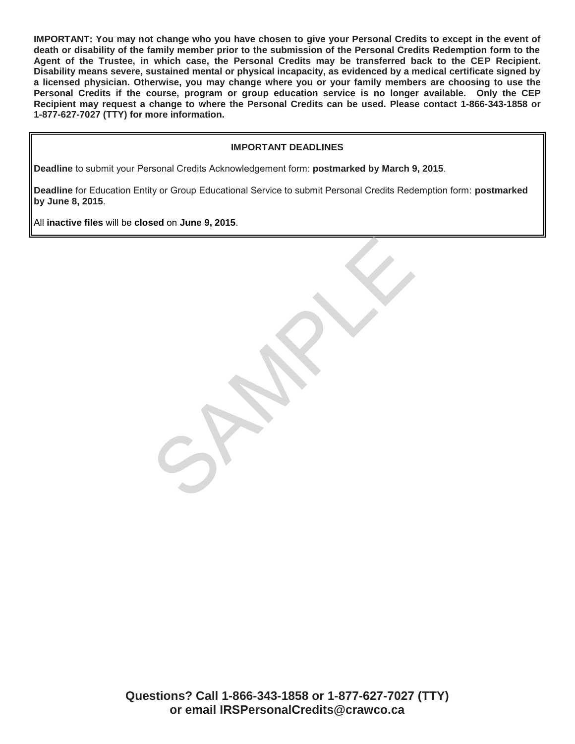**IMPORTANT: You may not change who you have chosen to give your Personal Credits to except in the event of death or disability of the family member prior to the submission of the Personal Credits Redemption form to the Agent of the Trustee, in which case, the Personal Credits may be transferred back to the CEP Recipient. Disability means severe, sustained mental or physical incapacity, as evidenced by a medical certificate signed by a licensed physician. Otherwise, you may change where you or your family members are choosing to use the Personal Credits if the course, program or group education service is no longer available. Only the CEP Recipient may request a change to where the Personal Credits can be used. Please contact 1-866-343-1858 or 1-877-627-7027 (TTY) for more information.** 

## **IMPORTANT DEADLINES**

**Deadline** to submit your Personal Credits Acknowledgement form: **postmarked by March 9, 2015**.

**Deadline** for Education Entity or Group Educational Service to submit Personal Credits Redemption form: **postmarked by June 8, 2015**.

SPARK

All **inactive files** will be **closed** on **June 9, 2015**.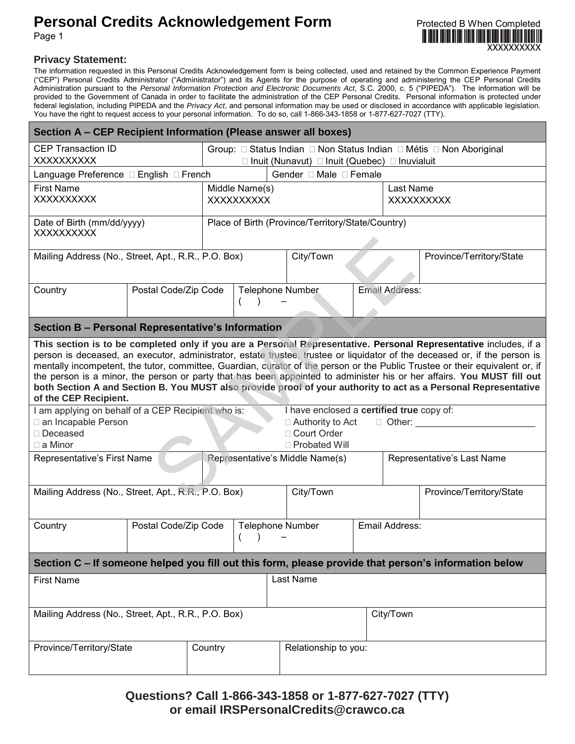# **Personal Credits Acknowledgement Form Protected B When Completed**



Page 1

## **Privacy Statement:**

The information requested in this Personal Credits Acknowledgement form is being collected, used and retained by the Common Experience Payment ("CEP") Personal Credits Administrator ("Administrator") and its Agents for the purpose of operating and administering the CEP Personal Credits Administration pursuant to the *Personal Information Protection and Electronic Documents Act*, S.C. 2000, c. 5 ("PIPEDA"). The information will be provided to the Government of Canada in order to facilitate the administration of the CEP Personal Credits. Personal information is protected under federal legislation, including PIPEDA and the *Privacy Act*, and personal information may be used or disclosed in accordance with applicable legislation. You have the right to request access to your personal information. To do so, call 1-866-343-1858 or 1-877-627-7027 (TTY).

| Section A – CEP Recipient Information (Please answer all boxes)                                                                                                                                                                                                                                                                                                                                                                                                                                                                                                                                                                                                                                                                                                                                                                                                                                                                                                                                 |                      |  |                                                                     |  |                          |                   |                          |  |
|-------------------------------------------------------------------------------------------------------------------------------------------------------------------------------------------------------------------------------------------------------------------------------------------------------------------------------------------------------------------------------------------------------------------------------------------------------------------------------------------------------------------------------------------------------------------------------------------------------------------------------------------------------------------------------------------------------------------------------------------------------------------------------------------------------------------------------------------------------------------------------------------------------------------------------------------------------------------------------------------------|----------------------|--|---------------------------------------------------------------------|--|--------------------------|-------------------|--------------------------|--|
| <b>CEP Transaction ID</b><br>XXXXXXXXX                                                                                                                                                                                                                                                                                                                                                                                                                                                                                                                                                                                                                                                                                                                                                                                                                                                                                                                                                          |                      |  | Group: □ Status Indian □ Non Status Indian □ Métis □ Non Aboriginal |  |                          |                   |                          |  |
| $\Box$ Inuit (Nunavut) $\Box$ Inuit (Quebec) $\Box$ Inuvialuit<br>Language Preference □ English □ French<br>Gender □ Male □ Female                                                                                                                                                                                                                                                                                                                                                                                                                                                                                                                                                                                                                                                                                                                                                                                                                                                              |                      |  |                                                                     |  |                          |                   |                          |  |
| <b>First Name</b>                                                                                                                                                                                                                                                                                                                                                                                                                                                                                                                                                                                                                                                                                                                                                                                                                                                                                                                                                                               |                      |  | Middle Name(s)                                                      |  |                          |                   | Last Name                |  |
| XXXXXXXXX                                                                                                                                                                                                                                                                                                                                                                                                                                                                                                                                                                                                                                                                                                                                                                                                                                                                                                                                                                                       |                      |  | <b>XXXXXXXXXX</b>                                                   |  |                          | <b>XXXXXXXXXX</b> |                          |  |
| Date of Birth (mm/dd/yyyy)<br>XXXXXXXXX                                                                                                                                                                                                                                                                                                                                                                                                                                                                                                                                                                                                                                                                                                                                                                                                                                                                                                                                                         |                      |  | Place of Birth (Province/Territory/State/Country)                   |  |                          |                   |                          |  |
| Mailing Address (No., Street, Apt., R.R., P.O. Box)                                                                                                                                                                                                                                                                                                                                                                                                                                                                                                                                                                                                                                                                                                                                                                                                                                                                                                                                             |                      |  | City/Town                                                           |  | Province/Territory/State |                   |                          |  |
| Country                                                                                                                                                                                                                                                                                                                                                                                                                                                                                                                                                                                                                                                                                                                                                                                                                                                                                                                                                                                         | Postal Code/Zip Code |  | <b>Telephone Number</b><br>Email Address:                           |  |                          |                   |                          |  |
| Section B - Personal Representative's Information                                                                                                                                                                                                                                                                                                                                                                                                                                                                                                                                                                                                                                                                                                                                                                                                                                                                                                                                               |                      |  |                                                                     |  |                          |                   |                          |  |
| This section is to be completed only if you are a Personal Representative. Personal Representative includes, if a<br>person is deceased, an executor, administrator, estate trustee, trustee or liquidator of the deceased or, if the person is<br>mentally incompetent, the tutor, committee, Guardian, curator of the person or the Public Trustee or their equivalent or, if<br>the person is a minor, the person or party that has been appointed to administer his or her affairs. You MUST fill out<br>both Section A and Section B. You MUST also provide proof of your authority to act as a Personal Representative<br>of the CEP Recipient.<br>I have enclosed a certified true copy of:<br>I am applying on behalf of a CEP Recipient who is:<br>an Incapable Person<br>$\Box$ Other:<br>$\Box$ Authority to Act<br>□ Court Order<br>□ Deceased<br>$\Box$ a Minor<br>□ Probated Will<br>Representative's First Name<br>Representative's Middle Name(s)<br>Representative's Last Name |                      |  |                                                                     |  |                          |                   |                          |  |
| Mailing Address (No., Street, Apt., R.R., P.O. Box)                                                                                                                                                                                                                                                                                                                                                                                                                                                                                                                                                                                                                                                                                                                                                                                                                                                                                                                                             |                      |  |                                                                     |  | City/Town                |                   | Province/Territory/State |  |
| Country                                                                                                                                                                                                                                                                                                                                                                                                                                                                                                                                                                                                                                                                                                                                                                                                                                                                                                                                                                                         | Postal Code/Zip Code |  | <b>Telephone Number</b>                                             |  |                          | Email Address:    |                          |  |
| Section C - If someone helped you fill out this form, please provide that person's information below                                                                                                                                                                                                                                                                                                                                                                                                                                                                                                                                                                                                                                                                                                                                                                                                                                                                                            |                      |  |                                                                     |  |                          |                   |                          |  |
| Last Name<br><b>First Name</b>                                                                                                                                                                                                                                                                                                                                                                                                                                                                                                                                                                                                                                                                                                                                                                                                                                                                                                                                                                  |                      |  |                                                                     |  |                          |                   |                          |  |
| Mailing Address (No., Street, Apt., R.R., P.O. Box)                                                                                                                                                                                                                                                                                                                                                                                                                                                                                                                                                                                                                                                                                                                                                                                                                                                                                                                                             |                      |  |                                                                     |  |                          | City/Town         |                          |  |
| Province/Territory/State<br>Country                                                                                                                                                                                                                                                                                                                                                                                                                                                                                                                                                                                                                                                                                                                                                                                                                                                                                                                                                             |                      |  | Relationship to you:                                                |  |                          |                   |                          |  |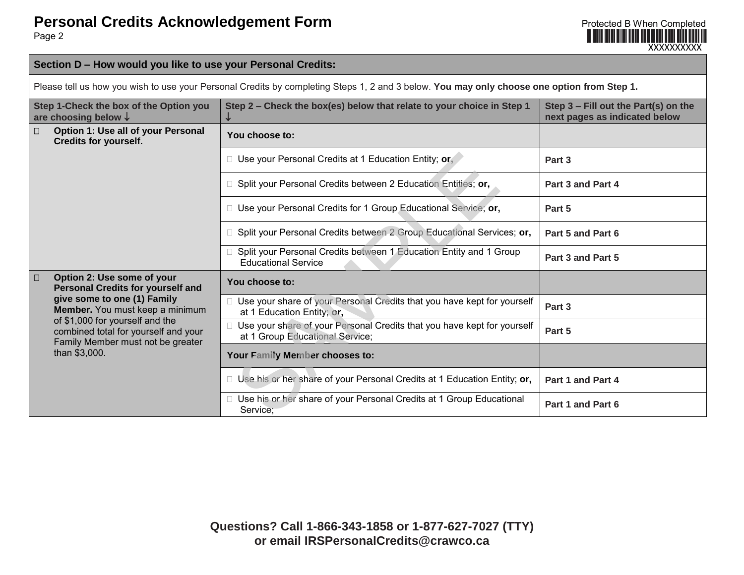

## **Section D – How would you like to use your Personal Credits:**

Please tell us how you wish to use your Personal Credits by completing Steps 1, 2 and 3 below. **You may only choose one option from Step 1.**

| Step 1-Check the box of the Option you<br>are choosing below $\downarrow$        |                                                                                                              | Step 2 - Check the box(es) below that relate to your choice in Step 1<br>↓                                   | Step 3 - Fill out the Part(s) on the<br>next pages as indicated below |
|----------------------------------------------------------------------------------|--------------------------------------------------------------------------------------------------------------|--------------------------------------------------------------------------------------------------------------|-----------------------------------------------------------------------|
| $\Box$                                                                           | Option 1: Use all of your Personal<br><b>Credits for yourself.</b>                                           | You choose to:                                                                                               |                                                                       |
|                                                                                  |                                                                                                              | $\Box$ Use your Personal Credits at 1 Education Entity; or,                                                  | Part 3                                                                |
|                                                                                  |                                                                                                              | □ Split your Personal Credits between 2 Education Entities; or,                                              | Part 3 and Part 4                                                     |
|                                                                                  |                                                                                                              | □ Use your Personal Credits for 1 Group Educational Service; or,                                             | Part 5                                                                |
|                                                                                  |                                                                                                              | $\Box$ Split your Personal Credits between 2 Group Educational Services; or,                                 | Part 5 and Part 6                                                     |
|                                                                                  |                                                                                                              | □ Split your Personal Credits between 1 Education Entity and 1 Group<br><b>Educational Service</b>           | Part 3 and Part 5                                                     |
| Option 2: Use some of your<br>$\Box$<br><b>Personal Credits for yourself and</b> |                                                                                                              | You choose to:                                                                                               |                                                                       |
| than \$3,000.                                                                    | give some to one (1) Family<br>Member. You must keep a minimum                                               | □ Use your share of your Personal Credits that you have kept for yourself<br>at 1 Education Entity; or,      | Part 3                                                                |
|                                                                                  | of \$1,000 for yourself and the<br>combined total for yourself and your<br>Family Member must not be greater | □ Use your share of your Personal Credits that you have kept for yourself<br>at 1 Group Educational Service; | Part 5                                                                |
|                                                                                  |                                                                                                              | Your Family Member chooses to:                                                                               |                                                                       |
|                                                                                  |                                                                                                              | $\Box$ Use his or her share of your Personal Credits at 1 Education Entity; or,                              | Part 1 and Part 4                                                     |
|                                                                                  |                                                                                                              | □ Use his or her share of your Personal Credits at 1 Group Educational<br>Service;                           | Part 1 and Part 6                                                     |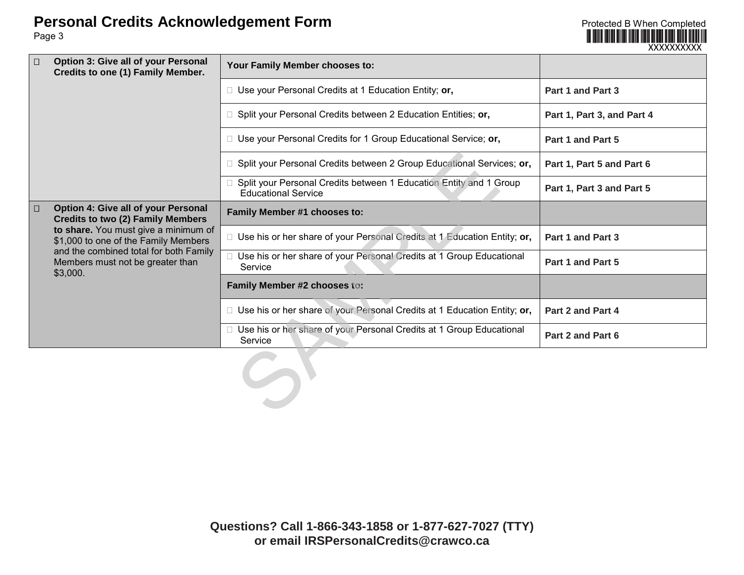**Personal Credits Acknowledgement Form**<br>
Page 3

Page 3

|                                                                                           |                                                                                                                                                                 |                                                                                                    | XXXXXXXXXX                 |
|-------------------------------------------------------------------------------------------|-----------------------------------------------------------------------------------------------------------------------------------------------------------------|----------------------------------------------------------------------------------------------------|----------------------------|
| <b>Option 3: Give all of your Personal</b><br>$\Box$<br>Credits to one (1) Family Member. |                                                                                                                                                                 | Your Family Member chooses to:                                                                     |                            |
|                                                                                           |                                                                                                                                                                 | $\Box$ Use your Personal Credits at 1 Education Entity; or,                                        | Part 1 and Part 3          |
|                                                                                           |                                                                                                                                                                 | $\Box$ Split your Personal Credits between 2 Education Entities; or,                               | Part 1, Part 3, and Part 4 |
|                                                                                           |                                                                                                                                                                 | □ Use your Personal Credits for 1 Group Educational Service; or,                                   | Part 1 and Part 5          |
|                                                                                           |                                                                                                                                                                 | □ Split your Personal Credits between 2 Group Educational Services; or,                            | Part 1, Part 5 and Part 6  |
|                                                                                           |                                                                                                                                                                 | □ Split your Personal Credits between 1 Education Entity and 1 Group<br><b>Educational Service</b> | Part 1, Part 3 and Part 5  |
| $\Box$                                                                                    | Option 4: Give all of your Personal<br><b>Credits to two (2) Family Members</b><br>to share. You must give a minimum of<br>\$1,000 to one of the Family Members | Family Member #1 chooses to:                                                                       |                            |
|                                                                                           |                                                                                                                                                                 | $\Box$ Use his or her share of your Personal Credits at 1 Education Entity; or,                    | Part 1 and Part 3          |
|                                                                                           | and the combined total for both Family<br>Members must not be greater than<br>\$3,000.                                                                          | □ Use his or her share of your Personal Credits at 1 Group Educational<br>Service                  | Part 1 and Part 5          |
|                                                                                           |                                                                                                                                                                 | Family Member #2 chooses to:                                                                       |                            |
|                                                                                           |                                                                                                                                                                 | $\Box$ Use his or her share of your Personal Credits at 1 Education Entity; or,                    | Part 2 and Part 4          |
|                                                                                           |                                                                                                                                                                 | Use his or her share of your Personal Credits at 1 Group Educational<br>Service                    | Part 2 and Part 6          |
|                                                                                           |                                                                                                                                                                 |                                                                                                    |                            |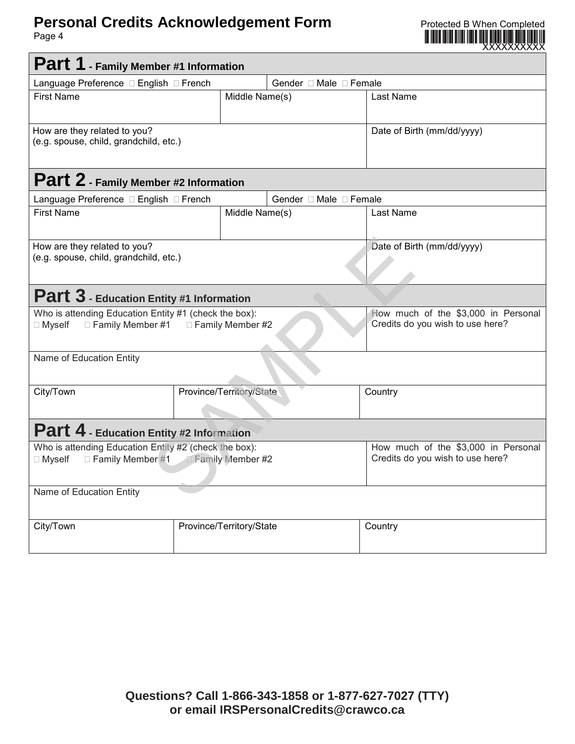# **Personal Credits Acknowledgement Form Protected B When Completed**

Page 4



| Part 1 - Family Member #1 Information                                                                                     |                                                                         |                        |                                                                         |  |  |
|---------------------------------------------------------------------------------------------------------------------------|-------------------------------------------------------------------------|------------------------|-------------------------------------------------------------------------|--|--|
|                                                                                                                           | Gender □ Male □ Female<br>Language Preference □ English □ French        |                        |                                                                         |  |  |
| <b>First Name</b>                                                                                                         | Middle Name(s)                                                          |                        | Last Name                                                               |  |  |
| How are they related to you?<br>(e.g. spouse, child, grandchild, etc.)                                                    |                                                                         |                        | Date of Birth (mm/dd/yyyy)                                              |  |  |
| Part 2 - Family Member #2 Information                                                                                     |                                                                         |                        |                                                                         |  |  |
| Language Preference □ English □ French                                                                                    |                                                                         | Gender □ Male □ Female |                                                                         |  |  |
| <b>First Name</b>                                                                                                         | Middle Name(s)                                                          |                        | Last Name                                                               |  |  |
| How are they related to you?<br>(e.g. spouse, child, grandchild, etc.)                                                    | Date of Birth (mm/dd/yyyy)                                              |                        |                                                                         |  |  |
| <b>Part 3</b> - Education Entity #1 Information                                                                           |                                                                         |                        |                                                                         |  |  |
| Who is attending Education Entity #1 (check the box):<br>$\Box$ Family Member #1 $\Box$ Family Member #2<br>$\Box$ Myself | How much of the \$3,000 in Personal<br>Credits do you wish to use here? |                        |                                                                         |  |  |
| Name of Education Entity                                                                                                  |                                                                         |                        |                                                                         |  |  |
| City/Town                                                                                                                 | Province/Territory/State                                                |                        | Country                                                                 |  |  |
| Part 4 - Education Entity #2 Information                                                                                  |                                                                         |                        |                                                                         |  |  |
| Who is attending Education Entity #2 (check the box):<br>Family Member #1 Eamily Member #2<br>$\Box$ Myself               |                                                                         |                        | How much of the \$3,000 in Personal<br>Credits do you wish to use here? |  |  |
| Name of Education Entity                                                                                                  |                                                                         |                        |                                                                         |  |  |
| City/Town                                                                                                                 | Province/Territory/State                                                |                        | Country                                                                 |  |  |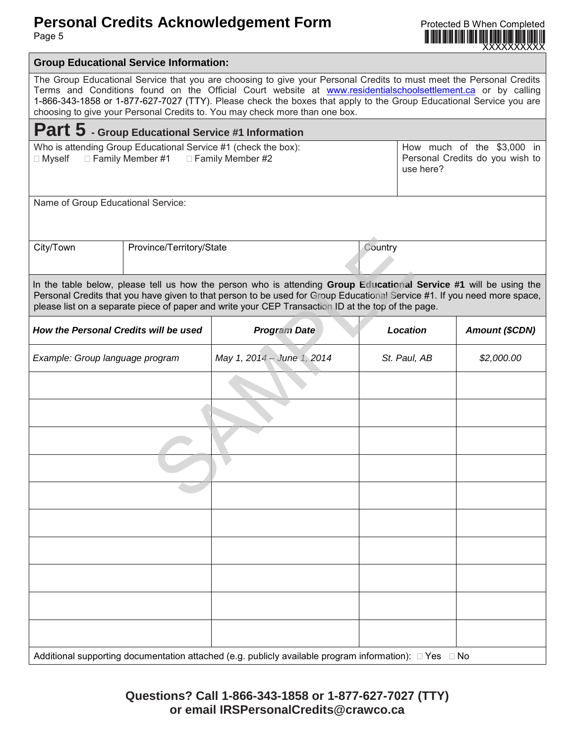## **Personal Credits Acknowledgement Form Form Exercise B When Completed**

Page 5

XXXXXXXXXX **Group Educational Service Information:** The Group Educational Service that you are choosing to give your Personal Credits to must meet the Personal Credits Terms and Conditions found on the Official Court website at [www.residentialschoolsettlement.ca](http://www.residentialschoolsettlement.ca/) or by calling 1-866-343-1858 or 1-877-627-7027 (TTY). Please check the boxes that apply to the Group Educational Service you are choosing to give your Personal Credits to. You may check more than one box. **Part 5 - Group Educational Service #1 Information** Who is attending Group Educational Service #1 (check the box):  $\Box$  Myself  $\Box$  Family Member #1  $\Box$  Family Member #2 How much of the \$3,000 in Personal Credits do you wish to use here? Name of Group Educational Service: City/Town Province/Territory/State Country In the table below, please tell us how the person who is attending **Group Educational Service #1** will be using the Personal Credits that you have given to that person to be used for Group Educational Service #1. If you need more space, please list on a separate piece of paper and write your CEP Transaction ID at the top of the page. *How the Personal Credits will be used Program Date Location* **| Amount (\$CDN)** *Example: Group language program May 1, 2014 – June 1, 2014 St. Paul, AB \$2,000.00* Additional supporting documentation attached (e.g. publicly available program information):  $\Box$  Yes  $\Box$  No Country<br>
Ince/Territory/State<br>
Itell us how the person who is attending Group Educational<br>
Investor of paper and write your CEP Transaction ID at the top of the<br>
Itell us how the person to be used for Group Educational Ser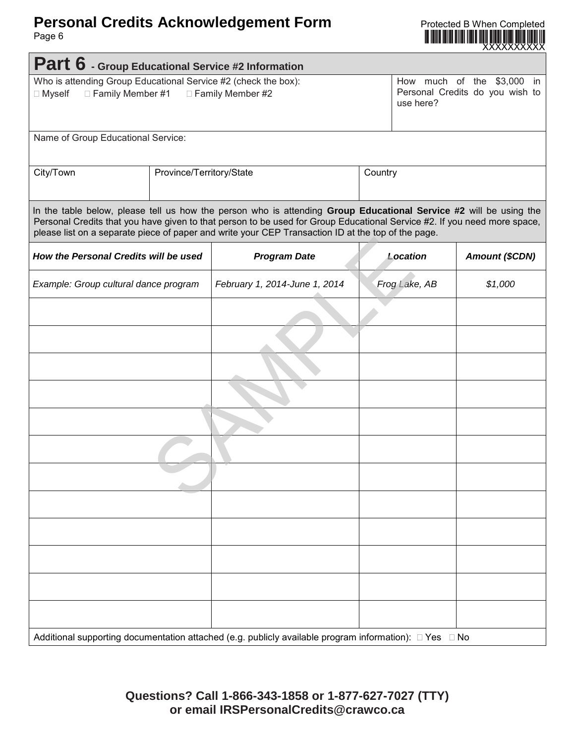# **Personal Credits Acknowledgement Form Protected B When Completed Page 6**

Page 6



| Part 6 - Group Educational Service #2 Information                                                                      |  |                                                                                                                                                                                                                                                                                                                                                     |         |                                                                            |                       |  |
|------------------------------------------------------------------------------------------------------------------------|--|-----------------------------------------------------------------------------------------------------------------------------------------------------------------------------------------------------------------------------------------------------------------------------------------------------------------------------------------------------|---------|----------------------------------------------------------------------------|-----------------------|--|
| Who is attending Group Educational Service #2 (check the box):<br>□ Myself<br>□ Family Member #1<br>□ Family Member #2 |  |                                                                                                                                                                                                                                                                                                                                                     |         | How much of the \$3,000 in<br>Personal Credits do you wish to<br>use here? |                       |  |
| Name of Group Educational Service:                                                                                     |  |                                                                                                                                                                                                                                                                                                                                                     |         |                                                                            |                       |  |
| City/Town<br>Province/Territory/State                                                                                  |  |                                                                                                                                                                                                                                                                                                                                                     | Country |                                                                            |                       |  |
|                                                                                                                        |  | In the table below, please tell us how the person who is attending Group Educational Service #2 will be using the<br>Personal Credits that you have given to that person to be used for Group Educational Service #2. If you need more space,<br>please list on a separate piece of paper and write your CEP Transaction ID at the top of the page. |         |                                                                            |                       |  |
| How the Personal Credits will be used                                                                                  |  | <b>Program Date</b>                                                                                                                                                                                                                                                                                                                                 |         | Location                                                                   | <b>Amount (\$CDN)</b> |  |
| Example: Group cultural dance program                                                                                  |  | February 1, 2014-June 1, 2014                                                                                                                                                                                                                                                                                                                       |         | Frog Lake, AB                                                              | \$1,000               |  |
|                                                                                                                        |  |                                                                                                                                                                                                                                                                                                                                                     |         |                                                                            |                       |  |
|                                                                                                                        |  |                                                                                                                                                                                                                                                                                                                                                     |         |                                                                            |                       |  |
|                                                                                                                        |  |                                                                                                                                                                                                                                                                                                                                                     |         |                                                                            |                       |  |
|                                                                                                                        |  |                                                                                                                                                                                                                                                                                                                                                     |         |                                                                            |                       |  |
|                                                                                                                        |  |                                                                                                                                                                                                                                                                                                                                                     |         |                                                                            |                       |  |
|                                                                                                                        |  |                                                                                                                                                                                                                                                                                                                                                     |         |                                                                            |                       |  |
|                                                                                                                        |  |                                                                                                                                                                                                                                                                                                                                                     |         |                                                                            |                       |  |
|                                                                                                                        |  |                                                                                                                                                                                                                                                                                                                                                     |         |                                                                            |                       |  |
|                                                                                                                        |  |                                                                                                                                                                                                                                                                                                                                                     |         |                                                                            |                       |  |
|                                                                                                                        |  |                                                                                                                                                                                                                                                                                                                                                     |         |                                                                            |                       |  |
|                                                                                                                        |  |                                                                                                                                                                                                                                                                                                                                                     |         |                                                                            |                       |  |
|                                                                                                                        |  |                                                                                                                                                                                                                                                                                                                                                     |         |                                                                            |                       |  |
| Additional supporting documentation attached (e.g. publicly available program information): □ Yes □ No                 |  |                                                                                                                                                                                                                                                                                                                                                     |         |                                                                            |                       |  |